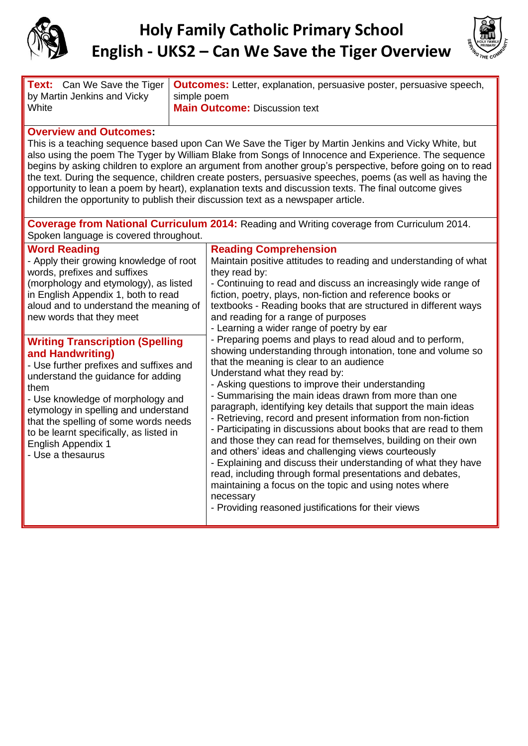

## **Holy Family Catholic Primary School English - UKS2 – Can We Save the Tiger Overview**



|                             | <b>Text:</b> Can We Save the Tiger   <b>Outcomes:</b> Letter, explanation, persuasive poster, persuasive speech, |  |
|-----------------------------|------------------------------------------------------------------------------------------------------------------|--|
| by Martin Jenkins and Vicky | simple poem                                                                                                      |  |
| White                       | <b>Main Outcome: Discussion text</b>                                                                             |  |

## **Overview and Outcomes:**

This is a teaching sequence based upon Can We Save the Tiger by Martin Jenkins and Vicky White, but also using the poem The Tyger by William Blake from Songs of Innocence and Experience. The sequence begins by asking children to explore an argument from another group's perspective, before going on to read the text. During the sequence, children create posters, persuasive speeches, poems (as well as having the opportunity to lean a poem by heart), explanation texts and discussion texts. The final outcome gives children the opportunity to publish their discussion text as a newspaper article.

| <b>Coverage from National Curriculum 2014:</b> Reading and Writing coverage from Curriculum 2014.<br>Spoken language is covered throughout.                                                                                                                                                                                                                                                                                                                                                                                                                                                                             |                                                                                                                                                                                                                                                                                                                                                                                                                                                                                                                                                                                                                                                                                                                                                                                                                                                                                                                                                                                                                                                                                                                                                                                                                                                                                                                              |  |  |
|-------------------------------------------------------------------------------------------------------------------------------------------------------------------------------------------------------------------------------------------------------------------------------------------------------------------------------------------------------------------------------------------------------------------------------------------------------------------------------------------------------------------------------------------------------------------------------------------------------------------------|------------------------------------------------------------------------------------------------------------------------------------------------------------------------------------------------------------------------------------------------------------------------------------------------------------------------------------------------------------------------------------------------------------------------------------------------------------------------------------------------------------------------------------------------------------------------------------------------------------------------------------------------------------------------------------------------------------------------------------------------------------------------------------------------------------------------------------------------------------------------------------------------------------------------------------------------------------------------------------------------------------------------------------------------------------------------------------------------------------------------------------------------------------------------------------------------------------------------------------------------------------------------------------------------------------------------------|--|--|
| <b>Word Reading</b><br>- Apply their growing knowledge of root<br>words, prefixes and suffixes<br>(morphology and etymology), as listed<br>in English Appendix 1, both to read<br>aloud and to understand the meaning of<br>new words that they meet<br><b>Writing Transcription (Spelling</b><br>and Handwriting)<br>- Use further prefixes and suffixes and<br>understand the guidance for adding<br>them<br>- Use knowledge of morphology and<br>etymology in spelling and understand<br>that the spelling of some words needs<br>to be learnt specifically, as listed in<br>English Appendix 1<br>- Use a thesaurus | <b>Reading Comprehension</b><br>Maintain positive attitudes to reading and understanding of what<br>they read by:<br>- Continuing to read and discuss an increasingly wide range of<br>fiction, poetry, plays, non-fiction and reference books or<br>textbooks - Reading books that are structured in different ways<br>and reading for a range of purposes<br>- Learning a wider range of poetry by ear<br>- Preparing poems and plays to read aloud and to perform,<br>showing understanding through intonation, tone and volume so<br>that the meaning is clear to an audience<br>Understand what they read by:<br>- Asking questions to improve their understanding<br>- Summarising the main ideas drawn from more than one<br>paragraph, identifying key details that support the main ideas<br>- Retrieving, record and present information from non-fiction<br>- Participating in discussions about books that are read to them<br>and those they can read for themselves, building on their own<br>and others' ideas and challenging views courteously<br>- Explaining and discuss their understanding of what they have<br>read, including through formal presentations and debates,<br>maintaining a focus on the topic and using notes where<br>necessary<br>- Providing reasoned justifications for their views |  |  |
|                                                                                                                                                                                                                                                                                                                                                                                                                                                                                                                                                                                                                         |                                                                                                                                                                                                                                                                                                                                                                                                                                                                                                                                                                                                                                                                                                                                                                                                                                                                                                                                                                                                                                                                                                                                                                                                                                                                                                                              |  |  |